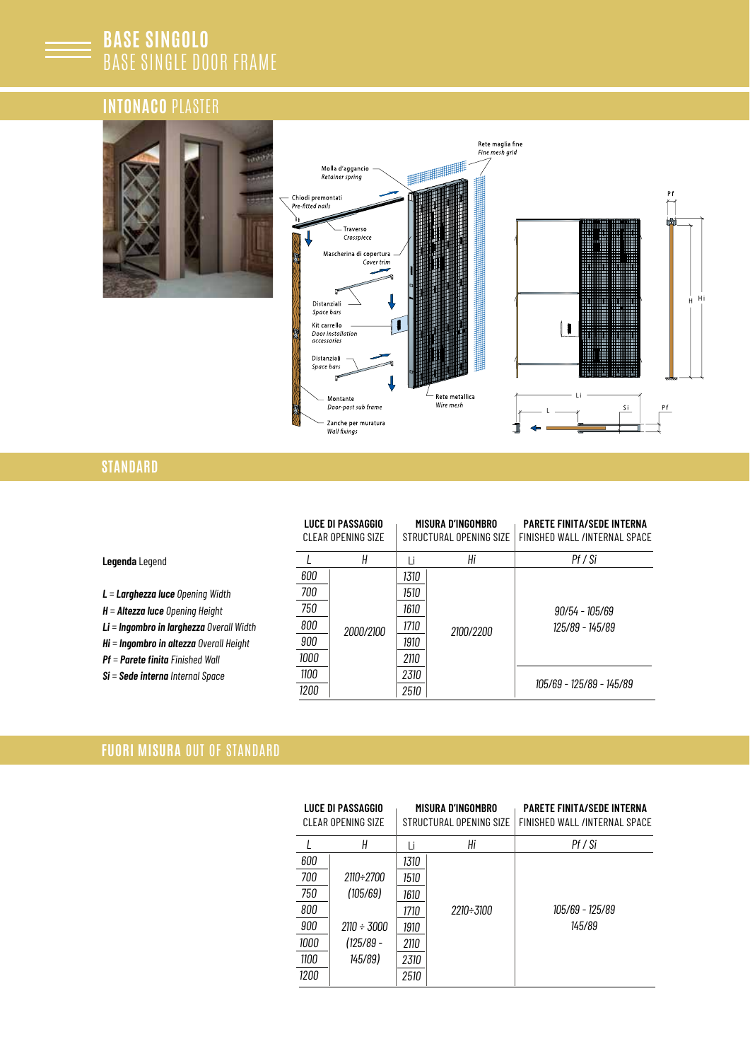# **BASE SINGOLO** BASE SINGLE DOOR FRAME

# **INTONACO** PLASTER





# **STANDARD**

|                                            |              | LUCE DI PASSAGGIO<br>CLEAR OPENING SIZE |              | MISURA D'INGOMBRO<br>STRUCTURAL OPENING SIZE | <b>PARETE FINITA/SEDE INTERNA</b><br>FINISHED WALL /INTERNAL SPACE |  |
|--------------------------------------------|--------------|-----------------------------------------|--------------|----------------------------------------------|--------------------------------------------------------------------|--|
| Legenda Legend                             |              | Н                                       |              | Hi                                           | Pf / Si                                                            |  |
|                                            | 600          |                                         | 1310         |                                              |                                                                    |  |
| $L =$ Larghezza luce Opening Width         | 700          |                                         |              |                                              |                                                                    |  |
| $H =$ Altezza luce Opening Height          | 750          |                                         | 1610         | 2100/2200                                    | 90/54 - 105/69<br>125/89 - 145/89                                  |  |
| $Li = Inqombro$ in larghezza Overall Width | 800          | 2000/2100                               | 1710         |                                              |                                                                    |  |
| $Hi = Ingombro$ in altezza Overall Height  | 900          |                                         | 1910         |                                              |                                                                    |  |
| $Pf =$ Parete finita Finished Wall         | 1000         |                                         | 2110         |                                              |                                                                    |  |
| $Si = Sede$ interna Internal Space         | 1100<br>1200 |                                         | 2310<br>2510 |                                              | 105/69 - 125/89 - 145/89                                           |  |

### **FUORI MISURA** OUT OF STANDARD

|      | LUCE DI PASSAGGIO<br>MISURA D'INGOMBRO<br>CLEAR OPENING SIZE<br>STRUCTURAL OPFNING SIZE |      |           | <b>PARETE FINITA/SEDE INTERNA</b><br>FINISHED WALL /INTERNAL SPACE |  |  |  |
|------|-----------------------------------------------------------------------------------------|------|-----------|--------------------------------------------------------------------|--|--|--|
|      | Н                                                                                       | Ιi   | Нi        | Pf / Si                                                            |  |  |  |
| 600  |                                                                                         | 1310 |           |                                                                    |  |  |  |
| 700  | 2110÷2700                                                                               | 1510 |           |                                                                    |  |  |  |
| 750  | (105/69)                                                                                | 1610 |           |                                                                    |  |  |  |
| 800  |                                                                                         | 1710 | 2210÷3100 | 105/69 - 125/89                                                    |  |  |  |
| 900  | 2110 ÷ 3000                                                                             | 1910 |           | 145/89                                                             |  |  |  |
| 1000 | $(125/89 -$                                                                             | 2110 |           |                                                                    |  |  |  |
| 1100 | 145/89)                                                                                 | 2310 |           |                                                                    |  |  |  |
| 1200 |                                                                                         | 2510 |           |                                                                    |  |  |  |